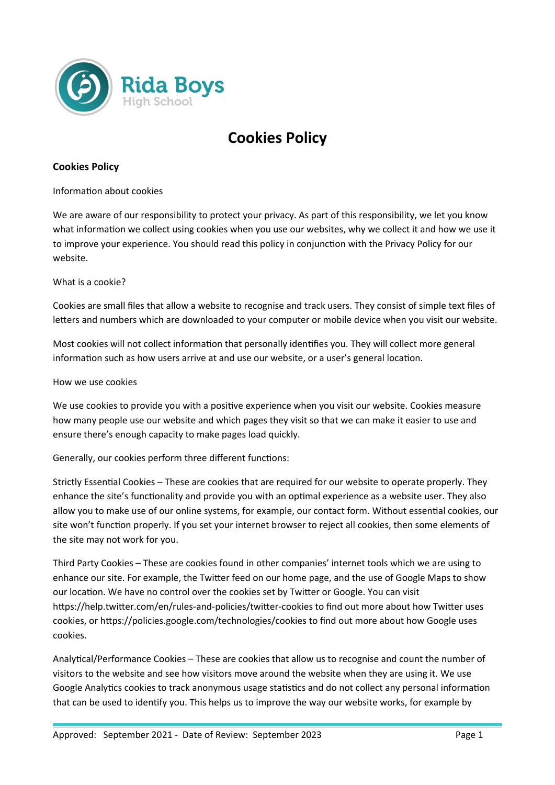

# **Cookies Policy**

# **Cookies Policy**

Information about cookies

We are aware of our responsibility to protect your privacy. As part of this responsibility, we let you know what information we collect using cookies when you use our websites, why we collect it and how we use it to improve your experience. You should read this policy in conjunction with the Privacy Policy for our website.

What is a cookie?

Cookies are small files that allow a website to recognise and track users. They consist of simple text files of letters and numbers which are downloaded to your computer or mobile device when you visit our website.

Most cookies will not collect information that personally identifies you. They will collect more general information such as how users arrive at and use our website, or a user's general location.

How we use cookies

We use cookies to provide you with a positive experience when you visit our website. Cookies measure how many people use our website and which pages they visit so that we can make it easier to use and ensure there's enough capacity to make pages load quickly.

Generally, our cookies perform three different functions:

Strictly Essential Cookies – These are cookies that are required for our website to operate properly. They enhance the site's functionality and provide you with an optimal experience as a website user. They also allow you to make use of our online systems, for example, our contact form. Without essential cookies, our site won't function properly. If you set your internet browser to reject all cookies, then some elements of the site may not work for you.

Third Party Cookies – These are cookies found in other companies' internet tools which we are using to enhance our site. For example, the Twitter feed on our home page, and the use of Google Maps to show our location. We have no control over the cookies set by Twitter or Google. You can visit https://help.twitter.com/en/rules-and-policies/twitter-cookies to find out more about how Twitter uses cookies, or https://policies.google.com/technologies/cookies to find out more about how Google uses cookies.

Analytical/Performance Cookies – These are cookies that allow us to recognise and count the number of visitors to the website and see how visitors move around the website when they are using it. We use Google Analytics cookies to track anonymous usage statistics and do not collect any personal information that can be used to identify you. This helps us to improve the way our website works, for example by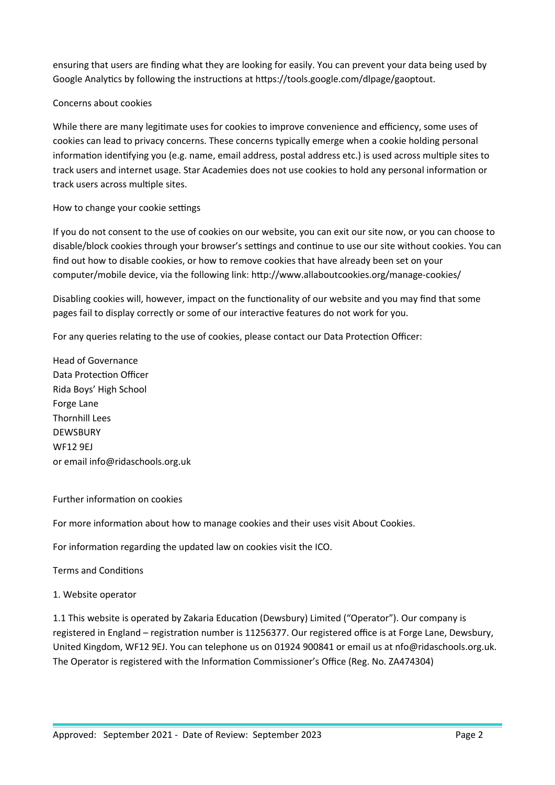ensuring that users are finding what they are looking for easily. You can prevent your data being used by Google Analytics by following the instructions at https://tools.google.com/dlpage/gaoptout.

## Concerns about cookies

While there are many legitimate uses for cookies to improve convenience and efficiency, some uses of cookies can lead to privacy concerns. These concerns typically emerge when a cookie holding personal information identifying you (e.g. name, email address, postal address etc.) is used across multiple sites to track users and internet usage. Star Academies does not use cookies to hold any personal information or track users across multiple sites.

## How to change your cookie settings

If you do not consent to the use of cookies on our website, you can exit our site now, or you can choose to disable/block cookies through your browser's settings and continue to use our site without cookies. You can find out how to disable cookies, or how to remove cookies that have already been set on your computer/mobile device, via the following link: http://www.allaboutcookies.org/manage-cookies/

Disabling cookies will, however, impact on the functionality of our website and you may find that some pages fail to display correctly or some of our interactive features do not work for you.

For any queries relating to the use of cookies, please contact our Data Protection Officer:

Head of Governance Data Protection Officer Rida Boys' High School Forge Lane Thornhill Lees DEWSBURY WF12 9EJ or email info@ridaschools.org.uk

## Further information on cookies

For more information about how to manage cookies and their uses visit About Cookies.

For information regarding the updated law on cookies visit the ICO.

Terms and Conditions

## 1. Website operator

1.1 This website is operated by Zakaria Education (Dewsbury) Limited ("Operator"). Our company is registered in England – registration number is 11256377. Our registered office is at Forge Lane, Dewsbury, United Kingdom, WF12 9EJ. You can telephone us on 01924 900841 or email us at nfo@ridaschools.org.uk. The Operator is registered with the Information Commissioner's Office (Reg. No. ZA474304)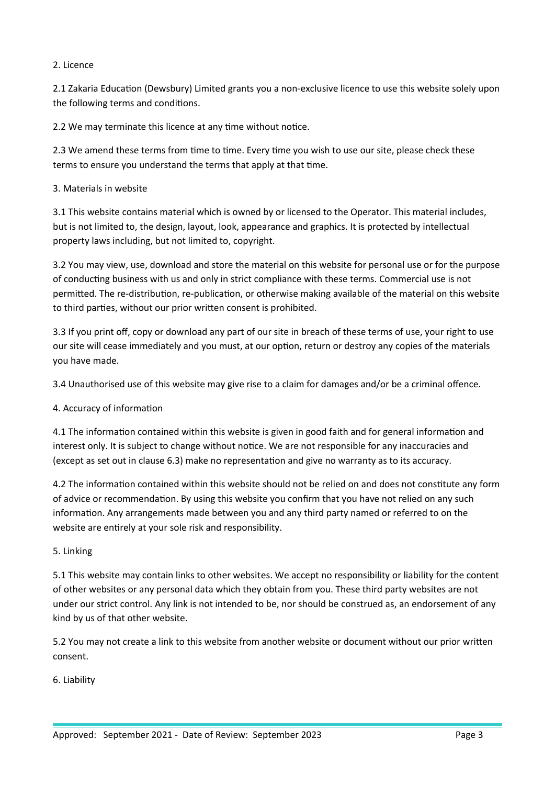## 2. Licence

2.1 Zakaria Education (Dewsbury) Limited grants you a non-exclusive licence to use this website solely upon the following terms and conditions.

2.2 We may terminate this licence at any time without notice.

2.3 We amend these terms from time to time. Every time you wish to use our site, please check these terms to ensure you understand the terms that apply at that time.

## 3. Materials in website

3.1 This website contains material which is owned by or licensed to the Operator. This material includes, but is not limited to, the design, layout, look, appearance and graphics. It is protected by intellectual property laws including, but not limited to, copyright.

3.2 You may view, use, download and store the material on this website for personal use or for the purpose of conducting business with us and only in strict compliance with these terms. Commercial use is not permitted. The re-distribution, re-publication, or otherwise making available of the material on this website to third parties, without our prior written consent is prohibited.

3.3 If you print off, copy or download any part of our site in breach of these terms of use, your right to use our site will cease immediately and you must, at our option, return or destroy any copies of the materials you have made.

3.4 Unauthorised use of this website may give rise to a claim for damages and/or be a criminal offence.

## 4. Accuracy of information

4.1 The information contained within this website is given in good faith and for general information and interest only. It is subject to change without notice. We are not responsible for any inaccuracies and (except as set out in clause 6.3) make no representation and give no warranty as to its accuracy.

4.2 The information contained within this website should not be relied on and does not constitute any form of advice or recommendation. By using this website you confirm that you have not relied on any such information. Any arrangements made between you and any third party named or referred to on the website are entirely at your sole risk and responsibility.

## 5. Linking

5.1 This website may contain links to other websites. We accept no responsibility or liability for the content of other websites or any personal data which they obtain from you. These third party websites are not under our strict control. Any link is not intended to be, nor should be construed as, an endorsement of any kind by us of that other website.

5.2 You may not create a link to this website from another website or document without our prior written consent.

6. Liability